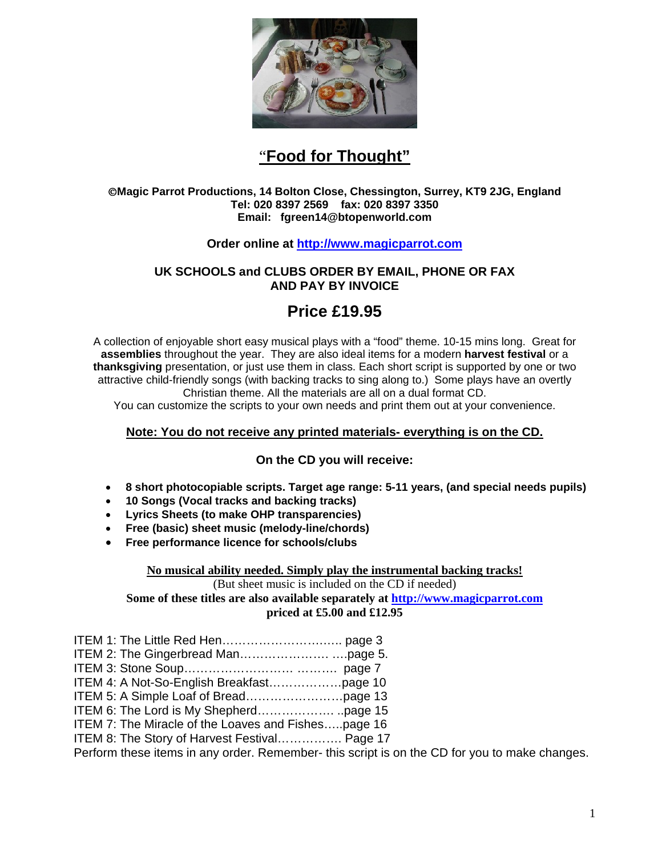

# "**Food for Thought"**

#### ©**Magic Parrot Productions, 14 Bolton Close, Chessington, Surrey, KT9 2JG, England Tel: 020 8397 2569 fax: 020 8397 3350 Email: fgreen14@btopenworld.com**

## **Order online at http://www.magicparrot.com**

## **UK SCHOOLS and CLUBS ORDER BY EMAIL, PHONE OR FAX AND PAY BY INVOICE**

## **Price £19.95**

A collection of enjoyable short easy musical plays with a "food" theme. 10-15 mins long. Great for **assemblies** throughout the year. They are also ideal items for a modern **harvest festival** or a **thanksgiving** presentation, or just use them in class. Each short script is supported by one or two attractive child-friendly songs (with backing tracks to sing along to.) Some plays have an overtly Christian theme. All the materials are all on a dual format CD.

You can customize the scripts to your own needs and print them out at your convenience.

## **Note: You do not receive any printed materials- everything is on the CD.**

## **On the CD you will receive:**

- **8 short photocopiable scripts. Target age range: 5-11 years, (and special needs pupils)**
- **10 Songs (Vocal tracks and backing tracks)**
- **Lyrics Sheets (to make OHP transparencies)**
- **Free (basic) sheet music (melody-line/chords)**
- **Free performance licence for schools/clubs**

#### **No musical ability needed. Simply play the instrumental backing tracks!**

(But sheet music is included on the CD if needed)

**Some of these titles are also available separately at http://www.magicparrot.com priced at £5.00 and £12.95** 

- ITEM 1: The Little Red Hen…………………….….. page 3 ITEM 2: The Gingerbread Man…………………. ….page 5.
- ITEM 3: Stone Soup……………………… ………. page 7
- ITEM 4: A Not-So-English Breakfast………………page 10
- ITEM 5: A Simple Loaf of Bread……………………page 13
- ITEM 6: The Lord is My Shepherd………………. ..page 15
- ITEM 7: The Miracle of the Loaves and Fishes…..page 16
- ITEM 8: The Story of Harvest Festival……………. Page 17

Perform these items in any order. Remember- this script is on the CD for you to make changes.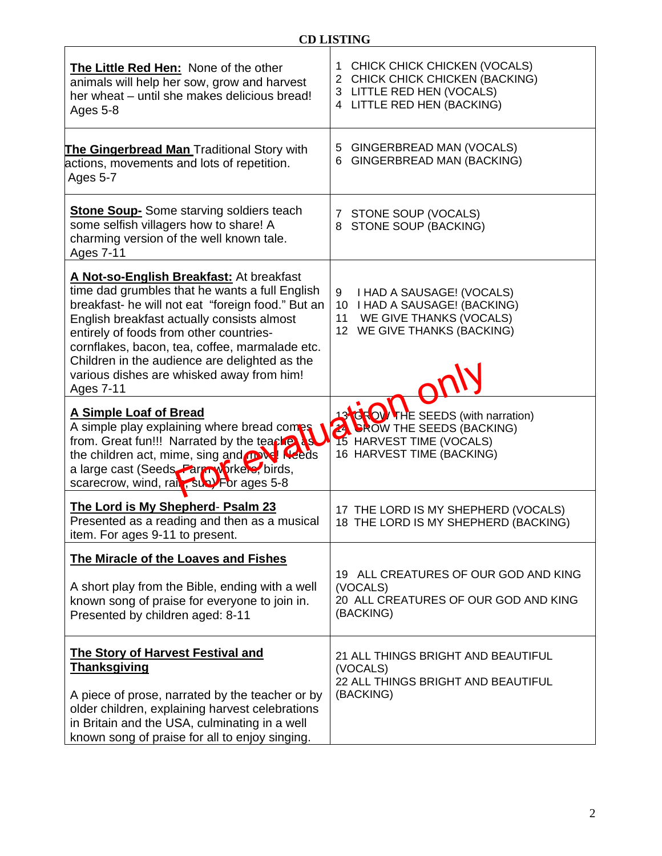| The Little Red Hen: None of the other<br>animals will help her sow, grow and harvest<br>her wheat - until she makes delicious bread!<br>Ages 5-8                                                                                                                                                                                                                                                      | CHICK CHICK CHICKEN (VOCALS)<br>1<br>2 CHICK CHICK CHICKEN (BACKING)<br>3 LITTLE RED HEN (VOCALS)<br>LITTLE RED HEN (BACKING)<br>4     |
|-------------------------------------------------------------------------------------------------------------------------------------------------------------------------------------------------------------------------------------------------------------------------------------------------------------------------------------------------------------------------------------------------------|----------------------------------------------------------------------------------------------------------------------------------------|
| The Gingerbread Man Traditional Story with<br>actions, movements and lots of repetition.<br>Ages 5-7                                                                                                                                                                                                                                                                                                  | GINGERBREAD MAN (VOCALS)<br>5<br>GINGERBREAD MAN (BACKING)<br>6                                                                        |
| <b>Stone Soup-</b> Some starving soldiers teach<br>some selfish villagers how to share! A<br>charming version of the well known tale.<br><b>Ages 7-11</b>                                                                                                                                                                                                                                             | STONE SOUP (VOCALS)<br>7<br>STONE SOUP (BACKING)<br>8                                                                                  |
| A Not-so-English Breakfast: At breakfast<br>time dad grumbles that he wants a full English<br>breakfast- he will not eat "foreign food." But an<br>English breakfast actually consists almost<br>entirely of foods from other countries-<br>cornflakes, bacon, tea, coffee, marmalade etc.<br>Children in the audience are delighted as the<br>various dishes are whisked away from him!<br>Ages 7-11 | I HAD A SAUSAGE! (VOCALS)<br>9<br>10 I HAD A SAUSAGE! (BACKING)<br>WE GIVE THANKS (VOCALS)<br>11<br>12 WE GIVE THANKS (BACKING)        |
| A Simple Loaf of Bread<br>A simple play explaining where bread comps<br>from. Great fun!!! Narrated by the teacher as<br>the children act, mime, sing and <b>movel Needs</b><br>a large cast (Seeds Fargry orkers, birds,<br>scarecrow, wind, rail, sub) For ages 5-8                                                                                                                                 | <b>34GROW THE SEEDS (with narration)</b><br><b>A DROW THE SEEDS (BACKING)</b><br>15 HARVEST TIME (VOCALS)<br>16 HARVEST TIME (BACKING) |
| The Lord is My Shepherd- Psalm 23<br>Presented as a reading and then as a musical<br>item. For ages 9-11 to present.                                                                                                                                                                                                                                                                                  | 17 THE LORD IS MY SHEPHERD (VOCALS)<br>18 THE LORD IS MY SHEPHERD (BACKING)                                                            |
| The Miracle of the Loaves and Fishes<br>A short play from the Bible, ending with a well<br>known song of praise for everyone to join in.<br>Presented by children aged: 8-11                                                                                                                                                                                                                          | 19 ALL CREATURES OF OUR GOD AND KING<br>(VOCALS)<br>20 ALL CREATURES OF OUR GOD AND KING<br>(BACKING)                                  |
| <b>The Story of Harvest Festival and</b><br><b>Thanksgiving</b><br>A piece of prose, narrated by the teacher or by<br>older children, explaining harvest celebrations<br>in Britain and the USA, culminating in a well<br>known song of praise for all to enjoy singing.                                                                                                                              | 21 ALL THINGS BRIGHT AND BEAUTIFUL<br>(VOCALS)<br>22 ALL THINGS BRIGHT AND BEAUTIFUL<br>(BACKING)                                      |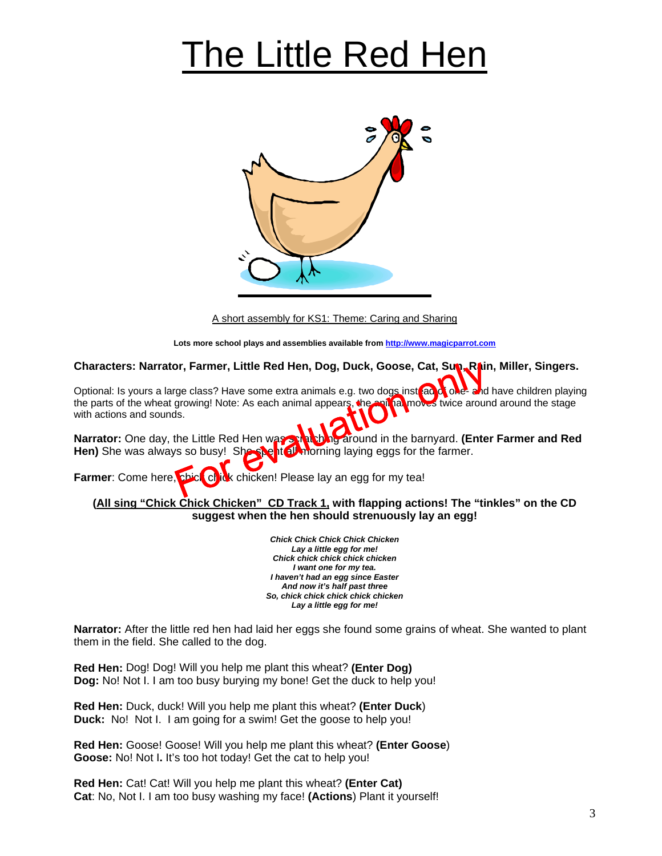# The Little Red Hen



A short assembly for KS1: Theme: Caring and Sharing

**Lots more school plays and assemblies available from http://www.magicparrot.com**

**Characters: Narrator, Farmer, Little Red Hen, Dog, Duck, Goose, Cat, Sun, Rain, Miller, Singers.**

Optional: Is yours a large class? Have some extra animals e.g. two dogs instead one-and have children playing the parts of the wheat growing! Note: As each animal appears, the animal moves twice around around the stage with actions and sounds. br, Farmer, Little Red Hen, Dog, Duck, Goose, Cat, Sup, Rainge class? Have some extra animals e.g. two dogs inst and growing! Note: As each animal appears, the spill almowes twice aroun sis.<br>Is.<br>the Little Red Hen was spil

**Narrator:** One day, the Little Red Hen was scratching around in the barnyard. **(Enter Farmer and Red** Hen) She was always so busy! She she htell morning laying eggs for the farmer.

**Farmer:** Come here, **chick** chick chicken! Please lay an egg for my tea!

**(All sing "Chick Chick Chicken" CD Track 1, with flapping actions! The "tinkles" on the CD suggest when the hen should strenuously lay an egg!** 

> *Chick Chick Chick Chick Chicken Lay a little egg for me! Chick chick chick chick chicken I want one for my tea. I haven't had an egg since Easter And now it's half past three So, chick chick chick chick chicken Lay a little egg for me!*

**Narrator:** After the little red hen had laid her eggs she found some grains of wheat. She wanted to plant them in the field. She called to the dog.

**Red Hen:** Dog! Dog! Will you help me plant this wheat? **(Enter Dog) Dog:** No! Not I. I am too busy burying my bone! Get the duck to help you!

**Red Hen:** Duck, duck! Will you help me plant this wheat? **(Enter Duck**) **Duck:** No! Not I. I am going for a swim! Get the goose to help you!

**Red Hen:** Goose! Goose! Will you help me plant this wheat? **(Enter Goose**) **Goose:** No! Not I**.** It's too hot today! Get the cat to help you!

**Red Hen:** Cat! Cat! Will you help me plant this wheat? **(Enter Cat) Cat**: No, Not I. I am too busy washing my face! **(Actions**) Plant it yourself!